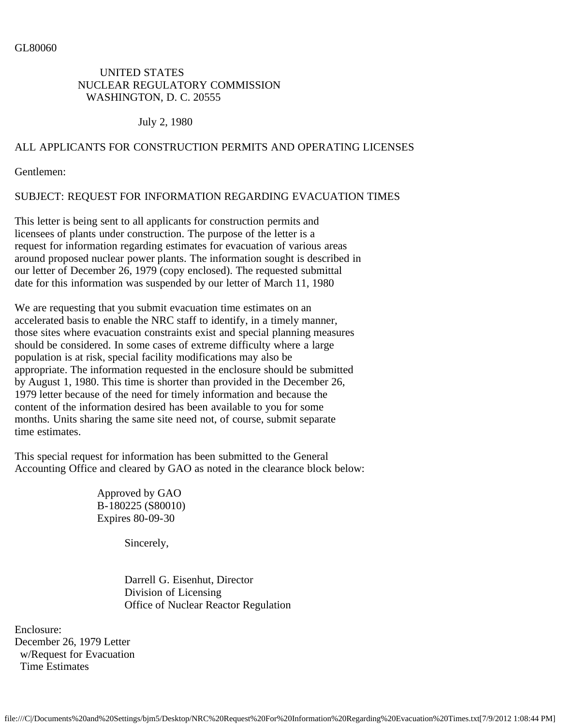### GL80060

## UNITED STATES NUCLEAR REGULATORY COMMISSION WASHINGTON, D. C. 20555

July 2, 1980

# ALL APPLICANTS FOR CONSTRUCTION PERMITS AND OPERATING LICENSES

Gentlemen:

# SUBJECT: REQUEST FOR INFORMATION REGARDING EVACUATION TIMES

This letter is being sent to all applicants for construction permits and licensees of plants under construction. The purpose of the letter is a request for information regarding estimates for evacuation of various areas around proposed nuclear power plants. The information sought is described in our letter of December 26, 1979 (copy enclosed). The requested submittal date for this information was suspended by our letter of March 11, 1980

We are requesting that you submit evacuation time estimates on an accelerated basis to enable the NRC staff to identify, in a timely manner, those sites where evacuation constraints exist and special planning measures should be considered. In some cases of extreme difficulty where a large population is at risk, special facility modifications may also be appropriate. The information requested in the enclosure should be submitted by August 1, 1980. This time is shorter than provided in the December 26, 1979 letter because of the need for timely information and because the content of the information desired has been available to you for some months. Units sharing the same site need not, of course, submit separate time estimates.

This special request for information has been submitted to the General Accounting Office and cleared by GAO as noted in the clearance block below:

> Approved by GAO B-180225 (S80010) Expires 80-09-30

> > Sincerely,

 Darrell G. Eisenhut, Director Division of Licensing Office of Nuclear Reactor Regulation

Enclosure: December 26, 1979 Letter w/Request for Evacuation Time Estimates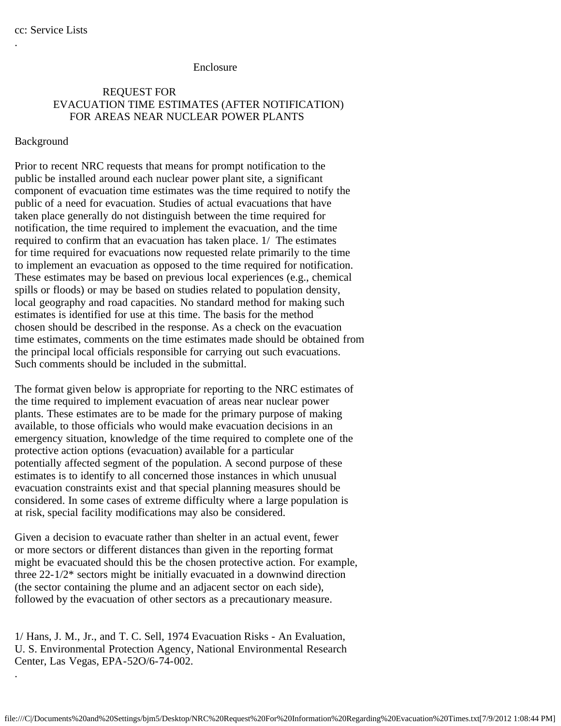.

.

#### Enclosure

## REQUEST FOR EVACUATION TIME ESTIMATES (AFTER NOTIFICATION) FOR AREAS NEAR NUCLEAR POWER PLANTS

### Background

Prior to recent NRC requests that means for prompt notification to the public be installed around each nuclear power plant site, a significant component of evacuation time estimates was the time required to notify the public of a need for evacuation. Studies of actual evacuations that have taken place generally do not distinguish between the time required for notification, the time required to implement the evacuation, and the time required to confirm that an evacuation has taken place. 1/ The estimates for time required for evacuations now requested relate primarily to the time to implement an evacuation as opposed to the time required for notification. These estimates may be based on previous local experiences (e.g., chemical spills or floods) or may be based on studies related to population density, local geography and road capacities. No standard method for making such estimates is identified for use at this time. The basis for the method chosen should be described in the response. As a check on the evacuation time estimates, comments on the time estimates made should be obtained from the principal local officials responsible for carrying out such evacuations. Such comments should be included in the submittal.

The format given below is appropriate for reporting to the NRC estimates of the time required to implement evacuation of areas near nuclear power plants. These estimates are to be made for the primary purpose of making available, to those officials who would make evacuation decisions in an emergency situation, knowledge of the time required to complete one of the protective action options (evacuation) available for a particular potentially affected segment of the population. A second purpose of these estimates is to identify to all concerned those instances in which unusual evacuation constraints exist and that special planning measures should be considered. In some cases of extreme difficulty where a large population is at risk, special facility modifications may also be considered.

Given a decision to evacuate rather than shelter in an actual event, fewer or more sectors or different distances than given in the reporting format might be evacuated should this be the chosen protective action. For example, three 22-1/2\* sectors might be initially evacuated in a downwind direction (the sector containing the plume and an adjacent sector on each side), followed by the evacuation of other sectors as a precautionary measure.

1/ Hans, J. M., Jr., and T. C. Sell, 1974 Evacuation Risks - An Evaluation, U. S. Environmental Protection Agency, National Environmental Research Center, Las Vegas, EPA-52O/6-74-002.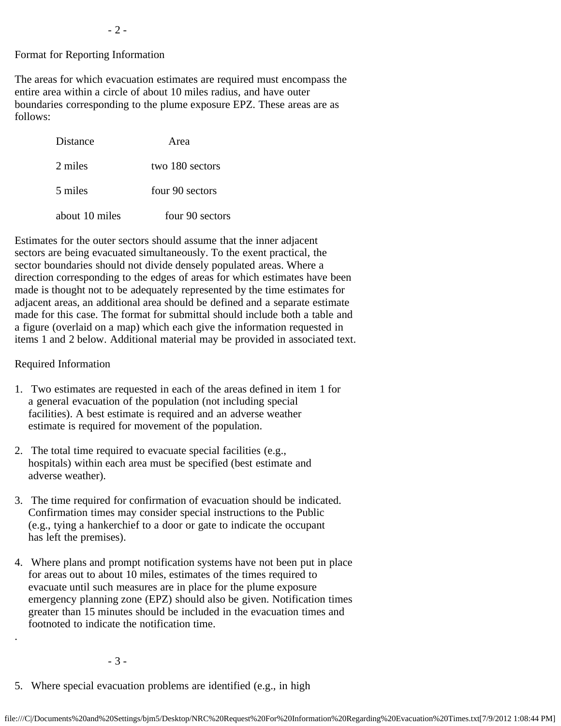## Format for Reporting Information

The areas for which evacuation estimates are required must encompass the entire area within a circle of about 10 miles radius, and have outer boundaries corresponding to the plume exposure EPZ. These areas are as follows:

| Distance       | Area            |
|----------------|-----------------|
| 2 miles        | two 180 sectors |
| 5 miles        | four 90 sectors |
| about 10 miles | four 90 sectors |

Estimates for the outer sectors should assume that the inner adjacent sectors are being evacuated simultaneously. To the exent practical, the sector boundaries should not divide densely populated areas. Where a direction corresponding to the edges of areas for which estimates have been made is thought not to be adequately represented by the time estimates for adjacent areas, an additional area should be defined and a separate estimate made for this case. The format for submittal should include both a table and a figure (overlaid on a map) which each give the information requested in items 1 and 2 below. Additional material may be provided in associated text.

### Required Information

.

- 1. Two estimates are requested in each of the areas defined in item 1 for a general evacuation of the population (not including special facilities). A best estimate is required and an adverse weather estimate is required for movement of the population.
- 2. The total time required to evacuate special facilities (e.g., hospitals) within each area must be specified (best estimate and adverse weather).
- 3. The time required for confirmation of evacuation should be indicated. Confirmation times may consider special instructions to the Public (e.g., tying a hankerchief to a door or gate to indicate the occupant has left the premises).
- 4. Where plans and prompt notification systems have not been put in place for areas out to about 10 miles, estimates of the times required to evacuate until such measures are in place for the plume exposure emergency planning zone (EPZ) should also be given. Notification times greater than 15 minutes should be included in the evacuation times and footnoted to indicate the notification time.

- 3 -

5. Where special evacuation problems are identified (e.g., in high